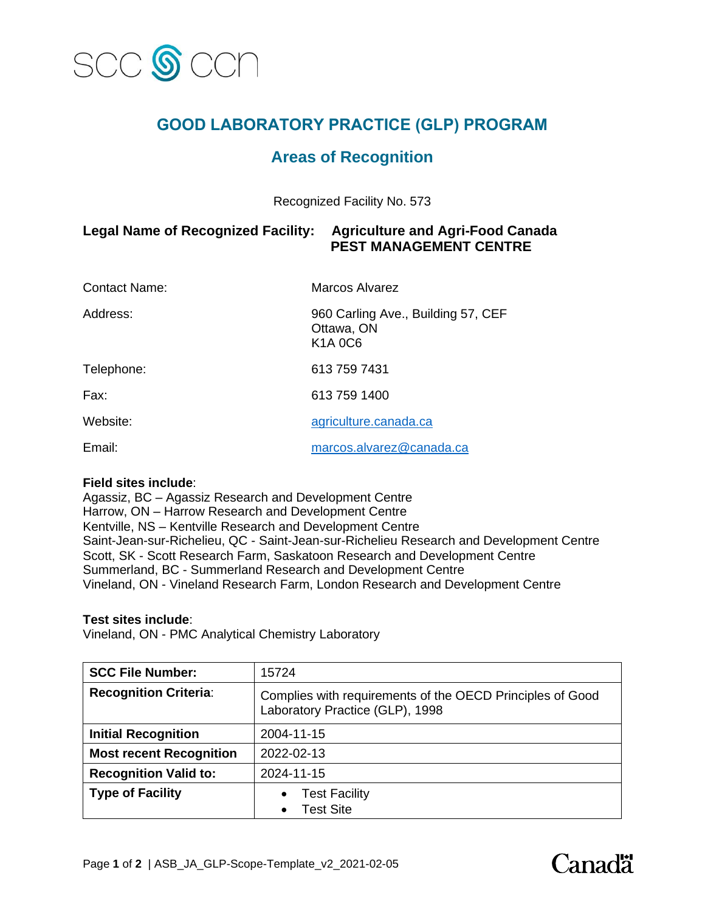

# **GOOD LABORATORY PRACTICE (GLP) PROGRAM**

## **Areas of Recognition**

Recognized Facility No. 573

### **Legal Name of Recognized Facility: Agriculture and Agri-Food Canada PEST MANAGEMENT CENTRE**

| Contact Name: | Marcos Alvarez                                                     |
|---------------|--------------------------------------------------------------------|
| Address:      | 960 Carling Ave., Building 57, CEF<br>Ottawa, ON<br><b>K1A 0C6</b> |
| Telephone:    | 613 759 7431                                                       |
| Fax:          | 613 759 1400                                                       |
| Website:      | agriculture.canada.ca                                              |
| Email:        | marcos.alvarez@canada.ca                                           |

#### **Field sites include**:

Agassiz, BC – Agassiz Research and Development Centre Harrow, ON – Harrow Research and Development Centre Kentville, NS – Kentville Research and Development Centre Saint-Jean-sur-Richelieu, QC - Saint-Jean-sur-Richelieu Research and Development Centre Scott, SK - Scott Research Farm, Saskatoon Research and Development Centre Summerland, BC - Summerland Research and Development Centre Vineland, ON - Vineland Research Farm, London Research and Development Centre

#### **Test sites include**:

Vineland, ON - PMC Analytical Chemistry Laboratory

| <b>SCC File Number:</b>        | 15724                                                                                        |
|--------------------------------|----------------------------------------------------------------------------------------------|
| <b>Recognition Criteria:</b>   | Complies with requirements of the OECD Principles of Good<br>Laboratory Practice (GLP), 1998 |
| <b>Initial Recognition</b>     | 2004-11-15                                                                                   |
| <b>Most recent Recognition</b> | 2022-02-13                                                                                   |
| <b>Recognition Valid to:</b>   | 2024-11-15                                                                                   |
| <b>Type of Facility</b>        | <b>Test Facility</b><br><b>Test Site</b>                                                     |